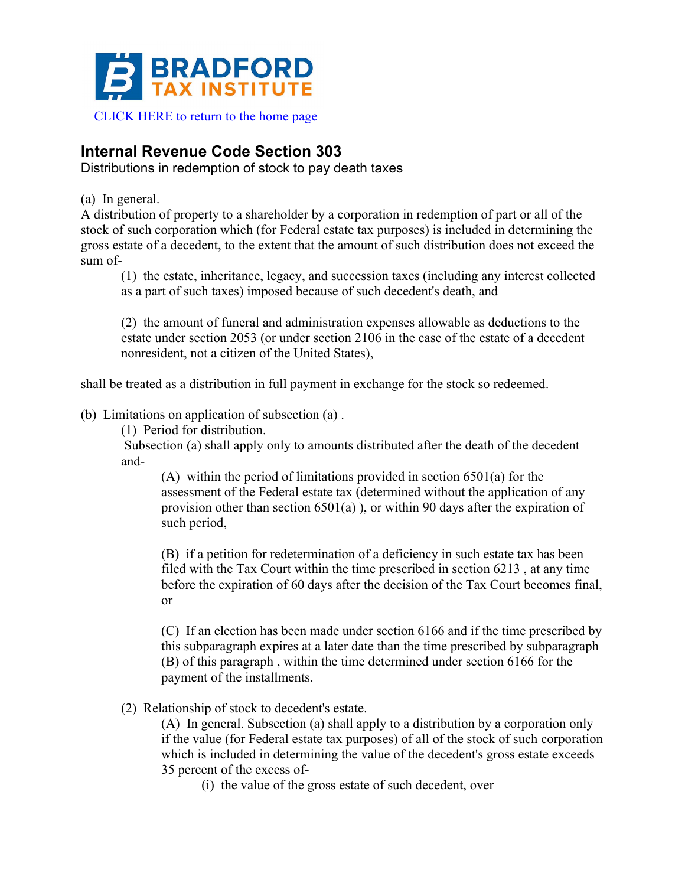

## **Internal Revenue Code Section 303**

Distributions in redemption of stock to pay death taxes

(a) In general.

A distribution of property to a shareholder by a corporation in redemption of part or all of the stock of such corporation which (for Federal estate tax purposes) is included in determining the gross estate of a decedent, to the extent that the amount of such distribution does not exceed the sum of-

(1) the estate, inheritance, legacy, and succession taxes (including any interest collected as a part of such taxes) imposed because of such decedent's death, and

(2) the amount of funeral and administration expenses allowable as deductions to the estate under section 2053 (or under section 2106 in the case of the estate of a decedent nonresident, not a citizen of the United States),

shall be treated as a distribution in full payment in exchange for the stock so redeemed.

## (b) Limitations on application of subsection (a) .

(1) Period for distribution.

Subsection (a) shall apply only to amounts distributed after the death of the decedent and-

(A) within the period of limitations provided in section 6501(a) for the assessment of the Federal estate tax (determined without the application of any provision other than section 6501(a) ), or within 90 days after the expiration of such period,

(B) if a petition for redetermination of a deficiency in such estate tax has been filed with the Tax Court within the time prescribed in section 6213 , at any time before the expiration of 60 days after the decision of the Tax Court becomes final, or

(C) If an election has been made under section 6166 and if the time prescribed by this subparagraph expires at a later date than the time prescribed by subparagraph (B) of this paragraph , within the time determined under section 6166 for the payment of the installments.

(2) Relationship of stock to decedent's estate.

(A) In general. Subsection (a) shall apply to a distribution by a corporation only if the value (for Federal estate tax purposes) of all of the stock of such corporation which is included in determining the value of the decedent's gross estate exceeds 35 percent of the excess of-

(i) the value of the gross estate of such decedent, over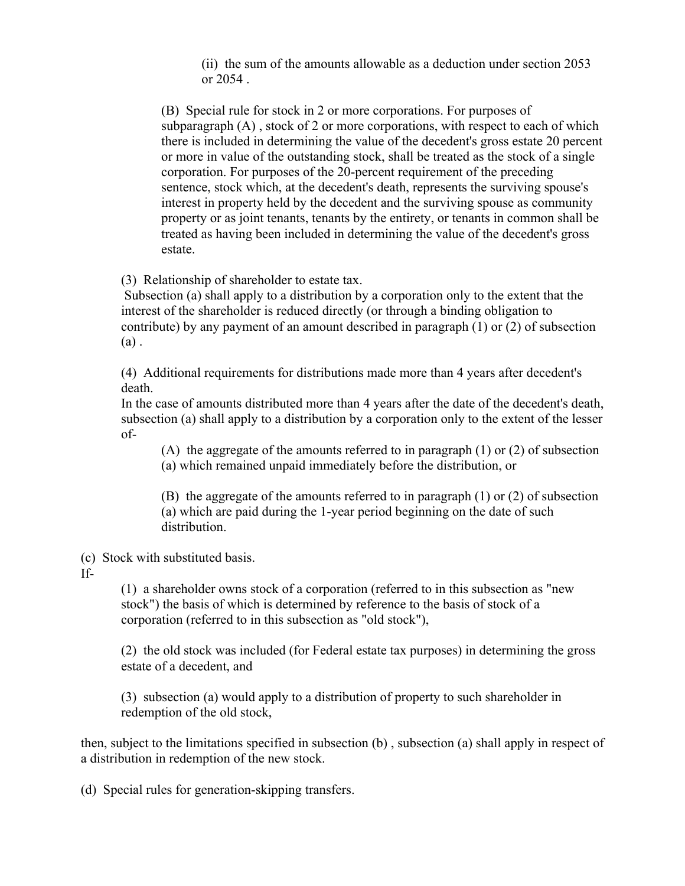(ii) the sum of the amounts allowable as a deduction under section 2053 or 2054 .

(B) Special rule for stock in 2 or more corporations. For purposes of subparagraph (A) , stock of 2 or more corporations, with respect to each of which there is included in determining the value of the decedent's gross estate 20 percent or more in value of the outstanding stock, shall be treated as the stock of a single corporation. For purposes of the 20-percent requirement of the preceding sentence, stock which, at the decedent's death, represents the surviving spouse's interest in property held by the decedent and the surviving spouse as community property or as joint tenants, tenants by the entirety, or tenants in common shall be treated as having been included in determining the value of the decedent's gross estate.

(3) Relationship of shareholder to estate tax.

Subsection (a) shall apply to a distribution by a corporation only to the extent that the interest of the shareholder is reduced directly (or through a binding obligation to contribute) by any payment of an amount described in paragraph (1) or (2) of subsection (a) .

(4) Additional requirements for distributions made more than 4 years after decedent's death.

In the case of amounts distributed more than 4 years after the date of the decedent's death, subsection (a) shall apply to a distribution by a corporation only to the extent of the lesser of-

(A) the aggregate of the amounts referred to in paragraph  $(1)$  or  $(2)$  of subsection (a) which remained unpaid immediately before the distribution, or

(B) the aggregate of the amounts referred to in paragraph (1) or (2) of subsection (a) which are paid during the 1-year period beginning on the date of such distribution.

(c) Stock with substituted basis.

If-

(1) a shareholder owns stock of a corporation (referred to in this subsection as "new stock") the basis of which is determined by reference to the basis of stock of a corporation (referred to in this subsection as "old stock"),

(2) the old stock was included (for Federal estate tax purposes) in determining the gross estate of a decedent, and

(3) subsection (a) would apply to a distribution of property to such shareholder in redemption of the old stock,

then, subject to the limitations specified in subsection (b) , subsection (a) shall apply in respect of a distribution in redemption of the new stock.

(d) Special rules for generation-skipping transfers.